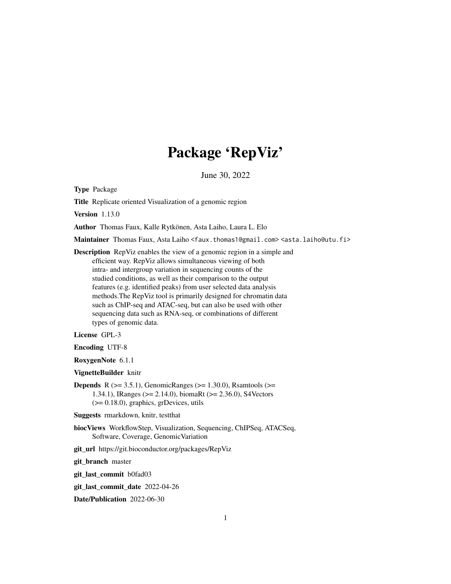## Package 'RepViz'

June 30, 2022

Type Package

Title Replicate oriented Visualization of a genomic region

Version 1.13.0

Author Thomas Faux, Kalle Rytkönen, Asta Laiho, Laura L. Elo

Maintainer Thomas Faux, Asta Laiho <faux.thomas1@gmail.com> <asta.laiho@utu.fi>

Description RepViz enables the view of a genomic region in a simple and efficient way. RepViz allows simultaneous viewing of both intra- and intergroup variation in sequencing counts of the studied conditions, as well as their comparison to the output features (e.g. identified peaks) from user selected data analysis methods.The RepViz tool is primarily designed for chromatin data such as ChIP-seq and ATAC-seq, but can also be used with other sequencing data such as RNA-seq, or combinations of different types of genomic data.

#### License GPL-3

Encoding UTF-8

RoxygenNote 6.1.1

VignetteBuilder knitr

**Depends** R ( $>= 3.5.1$ ), GenomicRanges ( $>= 1.30.0$ ), Rsamtools ( $>=$ 1.34.1), IRanges (>= 2.14.0), biomaRt (>= 2.36.0), S4Vectors (>= 0.18.0), graphics, grDevices, utils

Suggests rmarkdown, knitr, testthat

biocViews WorkflowStep, Visualization, Sequencing, ChIPSeq, ATACSeq, Software, Coverage, GenomicVariation

git\_url https://git.bioconductor.org/packages/RepViz

git\_branch master

git\_last\_commit b0fad03

git\_last\_commit\_date 2022-04-26

Date/Publication 2022-06-30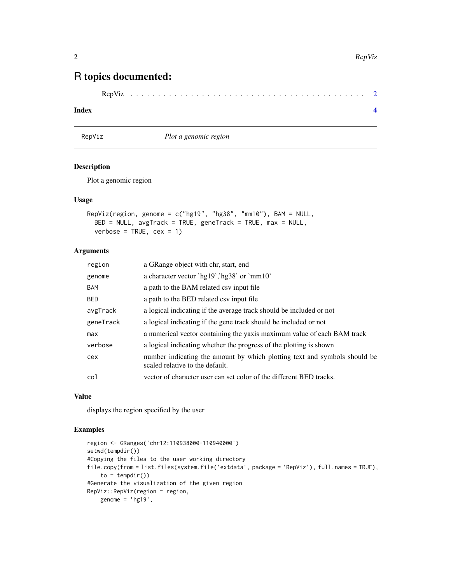### <span id="page-1-0"></span>R topics documented:

```
RepViz . . . . . . . . . . . . . . . . . . . . . . . . . . . . . . . . . . . . . . . . . . . 2
```
#### **Index** [4](#page-3-0)

RepViz *Plot a genomic region*

#### Description

Plot a genomic region

#### Usage

```
RepViz(region, genome = c("hg19", "hg38", "mm10"), BAM = NULL,
 BED = NULL, avgTrack = TRUE, geneTrack = TRUE, max = NULL,
 verbose = TRUE, cex = 1)
```
#### Arguments

| region    | a GRange object with chr, start, end                                                                         |
|-----------|--------------------------------------------------------------------------------------------------------------|
| genome    | a character vector 'hg19','hg38' or 'mm10'                                                                   |
| BAM       | a path to the BAM related csy input file                                                                     |
| BED.      | a path to the BED related csv input file                                                                     |
| avgTrack  | a logical indicating if the average track should be included or not                                          |
| geneTrack | a logical indicating if the gene track should be included or not                                             |
| max       | a numerical vector containing the yaxis maximum value of each BAM track                                      |
| verbose   | a logical indicating whether the progress of the plotting is shown                                           |
| cex       | number indicating the amount by which plotting text and symbols should be<br>scaled relative to the default. |
| col       | vector of character user can set color of the different BED tracks.                                          |

#### Value

displays the region specified by the user

#### Examples

```
region <- GRanges('chr12:110938000-110940000')
setwd(tempdir())
#Copying the files to the user working directory
file.copy(from = list.files(system.file('extdata', package = 'RepViz'), full.names = TRUE),
    to = tempdir()#Generate the visualization of the given region
RepViz::RepViz(region = region,
   genome = 'hg19',
```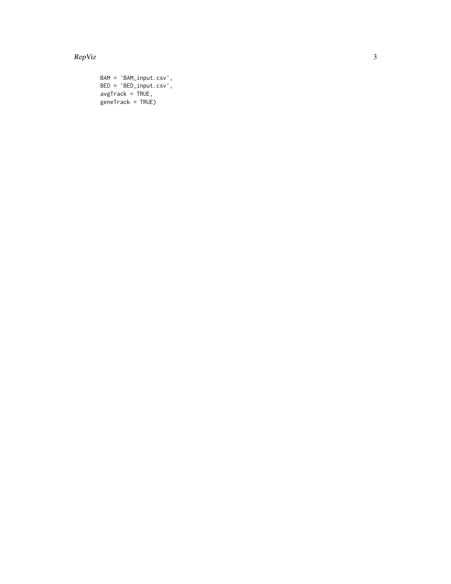RepViz

```
BAM = 'BAM\_input.csv',BED = 'BED\_input.csv',\overline{a} avgTrack = TRUE,<br>geneTrack = TRUE)
```